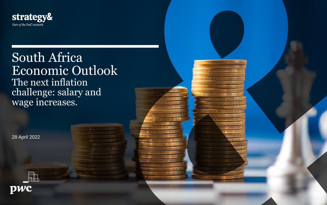

## South Africa Economic Outlook The next inflation challenge: salary and wage increases.

28 April 2022



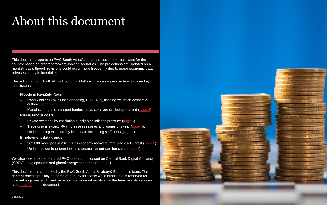# About this document

This document reports on PwC South Africa's core macroeconomic forecasts for the country based on different forward-looking scenarios. The projections are updated on a monthly basis though revisions could occur more frequently due to major economic data releases or key influential events.

- Rand weakens 8% as load-shedding, COVID-19, flooding weigh on economic outlook ([page 3\)](#page-2-0).
- Manufacturing and transport hardest hit as costs are still being counted [\(page 4](#page-3-0)).

- Private sector hit by escalating supply-side inflation pressure ([page 5\)](#page-4-0).
- Trade unions expect >6% increase in salaries and wages this year (page  $6$ ).
- Understanding exposure by industry to increasing staff costs ([page 7](#page-6-0)).

This edition of our South Africa Economic Outlook provides a perspective on three key local issues:

### **Floods in KwaZulu-Natal**

### **Rising labour costs**

### **Employment data trends**

- 262,000 more jobs in 2021Q4 as economy recovers from July 2021 unrest (page  $8$ ).
- Updates to our long-term jobs and unemployment rate forecasts ([page 9\)](#page-8-0).

We also look at some featured PwC research focussed on Central Bank Digital Currency (CBDC) developments and global energy scenarios ([page 10](#page-9-0)).

This document is produced by the PwC South Africa Strategy& Economics team. The content reflects publicly on some of our key forecasts while other data is reserved for internal purposes and client services. For more information on the team and its services, see [page 11](#page-10-0) of this document.

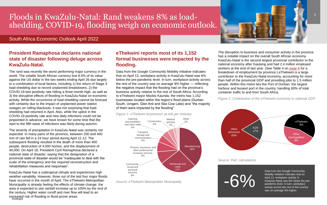## <span id="page-2-0"></span>Floods in KwaZulu-Natal: Rand weakens 8% as loadshedding, COVID-19, flooding weigh on economic outlook.

## **President Ramaphosa declares national state of disaster following deluge across KwaZulu-Natal.**

The rand was recently the worst performing major currency in the world. The volatile South African currency lost 8.5% of its value against the US dollar in the two weeks ending April 26 due largely to a combination of local factors, including 1) the return of Stage 4 load-shedding due to record unplanned breakdowns, 2) the COVID-19 test positivity rate hitting a three-month high, as well as 3) the disruptive effects of flooding in KwaZulu-Natal on economic activity. While the occurrence of load-shedding cannot be forecast with certainty due to the impact of unplanned power station outages on rolling blackouts, it was not surprising that loadshedding had returned in April. Also, while the uptick in the COVID-19 positivity rate and new daily infections could not be pinpointed in advance, we have known for some time that the start to the fifth wave of infections was likely during autumn.

increased risk of flooding in flood-prone areas.<br>Strategy& KwaZulu-Natal has a subtropical climate and experiences high weather variability. However, three out of the last four major floods have occurred in the month of April. The eThekwini Metropolitan Municipality is already feeling the effects of climate change: the area is expected to see rainfall increase up to 100% by the end of the century. Higher water runoff and river flow will lead to an

The severity of precipitation in KwaZulu-Natal was certainly not expected. In many parts of the province, between 200 and 400 mm of rain fell in a 24 hour period during April 11-12. The subsequent flooding resulted in the death of more than 400 people, destruction of 4,000 homes, and the displacement of 40,000. On April 18, President Cyril Ramaphosa declared a national state of disaster, saying that the designation of a provincial state of disaster would be "inadequate to deal with the scale of the emergency and the required reconstruction and rehabilitation measures and responses".

## **eThekwini reports most of its 1,152 formal businesses were impacted by the flooding.**

Data from the Google Community Mobility initiative indicates that on April 13, workplace activity in KwaZulu-Natal was 6% below the pre-pandemic level. In turn, workplace activity across the rest of the country was on average 8% higher — reflecting the negative impact that the flooding had on the province's business activity relative to the rest of South Africa. According to eThekwini mayor Mxolisi Kaunda, the metro has 1,152 businesses located within the region's flood plains (Durban South, Umgeni, Glen Anil and Sea Cow Lake) and "the majority of them were impacted by the flooding".

*Figure 1: eThekwini businesses at risk per industry*

*Source: eThekwini Metropolitan Municipality* 

The disruption to business and consumer activity in the province has a notable impact on the overall South African economy. KwaZulu-Natal is the second largest provincial contributor to the national economy after Gauteng and had 2.4 million employed workers at the end of last year. (See Table 4 on [page 8](#page-7-0) for a breakdown of employment by province.) eThekwini is a large contributor to the KwaZulu-Natal economy, accounting for more than half of the provincial GDP and providing jobs to 1.5 million people. Within this metro lies the Port of Durban: the largest harbour and busiest port in the country, handling 60% of total container traffic to and from South Africa.

*Figure 2: Contribution of the eThekwini economy to national GDP*



## South Africa Economic Outlook April 2022

Manufacturing 38% Wholesale and retail 27% **Community** social and personal services 9% Finance, insurance, and other professional business services 8% Transport, storage and communication 5% Catering, accomodation and other trade 5% Construction 4% Medical services  $2\%$ **Other** 2%





Data from the Google Community Mobility initiative indicates that on April 13, workplace activity in KwaZulu-Natal was 6% below the prepandemic level. In turn, workplace activity across the rest of the country was on average 8% higher.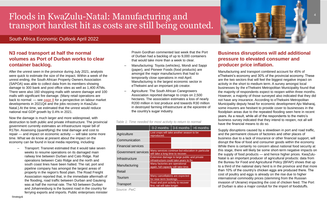<span id="page-3-0"></span>

## **N3 road transport at half the normal volumes as Port of Durban works to clear container backlog.**

After the unrest seen in the province during July 2021, analysts were quick to estimate the size of the impact. Within a week of the unrest ending, the South African Property Owners Association (SAPOA) was able to collect data from its members showing damage to 300 bank and post office sites as well as 1,400 ATMs. There were also 160 shopping malls with severe damage and 100 malls with significant fire damage. (Many retail operations are back to normal: — see [page 8](#page-7-0) for a perspective on labour market developments in 2021Q4 and the jobs recovery in KwaZulu-Natal.) At the time, we estimated that the unrest would reduce national real GDP growth by 0.4% in 2021.

Now the damage is much larger and more widespread, with destruction to both public and private infrastructure. The provincial government currently estimates an infrastructure repair bill of R17bn. Assessing (quantifying) the total damage and cost to repair — and impact on economic activity — will take some more time. What we do know at present about the impact on the economy can be found in local media reporting, including:

– Transport: Transnet estimated that it would take seven weeks to resume operations on its damaged main railway line between Durban and Cato Ridge. Rail operations between Cato Ridge and the north and south coast lines have been halted. The rail, port and pipeline company has amongst the largest areas of property in the region's flood plain. The Road Freight Association reported that, in the immediate aftermath of the flooding, road traffic between Durban and Gauteng was at half the normal rate. The N3 between Durban and Johannesburg is the busiest road in the country for ferrying exports and imports. Public enterprises minister

– Pravin Gordhan commented last week that the Port of Durban had a backlog of up to 9,000 containers that would take more than a week to clear.

- Manufacturing: Toyota (vehicles), Mondi and Sappi (paper), and Pioneer Foods (food products) are amongst the major manufacturers that had to temporarily close operations in mid-April. Manufacturing is the largest economic sector in eThekwini and an important job creator.
- Agriculture: The South African Canegrowers Association reported damage to crops on 2,500 hectares. The association estimates a loss of nearly R200 million in lost produce and towards R30 million in destroyed farming infrastructure at the epicentre of the country's sugar industry.

| Table 1: Time needed for most activity to return to normal |  |  |  |  |
|------------------------------------------------------------|--|--|--|--|
|------------------------------------------------------------|--|--|--|--|

*Source: PwC*

## **Business disruptions will add additional pressure to elevated consumer and producer price inflation.**

Manufacturing and transport combined account for 45% of eThekwini's economy and 30% of the provincial economy. These are the two sectors that will feel the biggest negative impact on activity in the short to medium term. A survey amongst local businesses by the eThekwini Metropolitan Municipality found that the majority of respondents expect to reopen within three months. However, a majority of those surveyed also indicated that they did not have any insurance. According to eThekwini Metropolitan Municipality deputy head for economic development Ajiv Maharaj, some insurers are hesitant to provide cover to businesses in the floodplain areas due to the repeated flooding seen here in recent years. As a result, while all of the respondents to the metro's business survey indicated that they intend to reopen, not all will have the financial means to do so.

Supply disruptions caused by a slowdown in port and road traffic, and the permanent closure of factories and other places of business due to a lack of insurance or other financial support, will disrupt the flow of food and consumer goods within the economy. While there is certainly no concern about national food security at this stage, there will likely be some short-term negative impacts on the supply of food products — and hence higher prices. KwaZulu-Natal is an important producer of agricultural products: data from the Bureau for Food and Agricultural Policy (BFAP) shows that up to a third of the national dairy herd is in the province and that more than 10% of the country's chicken eggs are produced there. The cost of poultry and eggs is already on the rise due to higher international commodity prices (stemming from the Russian invasion of Ukraine) impacting the cost of chicken feed. The Port of Durban is also a major conduit for the import of foodstuffs.



|                           | 0-2 months                                                                              | $3-6$ months $\vert$ >6 months |  |
|---------------------------|-----------------------------------------------------------------------------------------|--------------------------------|--|
| Agriculture               | Lost crops will take another season to be<br>reproduced.                                |                                |  |
| Communication             |                                                                                         |                                |  |
| <b>Financial services</b> |                                                                                         |                                |  |
| Government services       | Many services continue but education in particular<br>will take a long time to recover. |                                |  |
| Infrastructure            | Extensive damage to large public and private<br>infrastructure could take years to fix. |                                |  |
| Manufacturing             | Many factories are operational<br>again; full capacity will take time.                  |                                |  |
| <b>Retail</b>             |                                                                                         |                                |  |
| Tourism                   | Many cancellations are expected<br>for near-term bookings.                              |                                |  |
| Transport                 | Road and port activity to recover<br>first, rail will take longer.                      |                                |  |
|                           |                                                                                         |                                |  |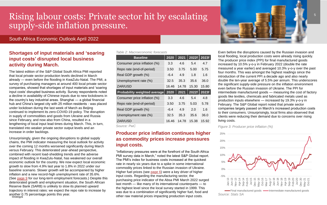## <span id="page-4-0"></span>Rising labour costs: Private sector hit by escalating supply-side inflation pressure.

## **Shortages of input materials and 'soaring input costs' disrupted local business activity during March.**

The latest edition of the S&P Global South Africa PMI reported that local private sector production levels declined in March already — even before the flooding in KwaZulu-Natal. The PMI, a survey of purchasing managers at around 400 local private sector companies, showed that shortages of input materials and 'soaring input costs' disrupted business activity. Survey respondents noted a decline in availability of Chinese inputs due to new lockdowns in the country's key industrial areas. Shanghai — a global financial hub and China's largest city with 25 million residents - was placed under lockdown during the last week of March as Beijing continued to implement its zero-COVID-19 policy. The disruption in supply of commodities and goods from Ukraine and Russia since February, and now also from China, resulted in a lengthening of local input lead times during March. This, in turn, translated into weaker private sector output levels and an increase in order backlogs.

another 0.75 percentage points this year.<br>Strategy& Unsurprisingly, given the ongoing disruptions to global supply chains, the PMI indicator measuring the local outlook for activity over the coming 12 months worsened significantly during March versus February. This deteriorated year-ahead perspective, combined with recent load-shedding trends and the adverse impact of flooding in KwaZulu-Natal, has weakened our overall economic outlook for the country. We now expect local economic growth to slow from 4.9% last year to 1.8% in 2022 under our baseline scenario. Slower growth will be accompanied by higher inflation and a new record-high unemployment rate of 35.6%. (See [page 9](#page-8-0) for our long-term employment forecasts.) Despite this deteriorated growth and employment situation, the South African Reserve Bank (SARB) is unlikely to slow its planned upward trajectory in interest rates: we expect the repo rate to increase by

*Source: PwC*

## **Producer price inflation continues higher as commodity prices increase pressures input costs.**

"Inflationary pressures were at the forefront of the South Africa PMI survey data in March," noted the latest S&P Global report. The PMI's index for business costs increased at the quickest rate in nearly six years due to a spike in some international commodity prices linked to the Russian invasion of Ukraine. Higher fuel prices (see [page 6\)](#page-5-0) were a key driver of higher input costs. Regarding the manufacturing sector, the purchasing price indicator of the Absa PMI March 2022 surged last month — like many of its international counterparts — to the highest level since the local survey started in 1999. This was due to a combination of significantly higher fuel, food and other raw material prices impacting production input costs.

| Table 2: Macroeconomic forecasts |        |       |       |                |
|----------------------------------|--------|-------|-------|----------------|
| <b>Baseline</b>                  | 2020   | 2021  | 2022f | 2023f          |
| Consumer price inflation (%)     | 3.3    | 4.6   | 5.4   | 4.7            |
| Repo rate (end-of-period)        | 3.50   | 3.75  | 5.00  | 5.75           |
| Real GDP growth (%)              | $-6.4$ | 4.9   | 1.8   | 1.6            |
| Unemployment rate (%)            | 32.5   | 35.3  | 35.6  | 36.0           |
| ZAR/USD                          | 16.46  | 14.78 | 15.30 | 15.80          |
|                                  |        |       |       |                |
| Probability weighted average     | 2020   | 2021  | 2022f |                |
| Consumer price inflation (%)     | 3.3    | 4.6   | 5.4   | 4.8            |
| Repo rate (end-of-period)        | 3.50   | 3.75  | 5.03  | 5.78           |
| Real GDP growth (%)              | $-6.4$ | 4.9   | 2.0   | 1.6            |
| Unemployment rate (%)            | 32.5   | 35.3  | 35.6  | 36.0           |
| ZAR/USD                          | 16.46  | 14.78 | 15.38 | 2023f<br>15.92 |

Even before the disruptions caused by the Russian invasion and local flooding, local production costs were already rising quickly. The producer price index (PPI) for final manufactured goods increased by 10.5% y-o-y in February 2022 (double the rate measured a year earlier) and averaged 10.3% y-o-y over the past four months. This was amongst the highest readings since the introduction of the current PPI a decade ago and also nearly double the ten-year average of 5.5% per annum. This underscores the significant supply-side pressure on the inflation environment even before the Russian invasion of Ukraine. The PPI for intermediate manufactured goods — measuring the cost of factory goods like textiles, chemicals and fabricated metals used as production inputs elsewhere — increased by 19.3% y-o-y in February. The S&P Global report noted that private sector companies largely passed on March's increased production costs to their consumers. Unsurprisingly, local firms also observed that clients were reducing their demand due to concerns over rising living costs.

*Figure 3: Producer price inflation (%)*

*Source: Stats SA*



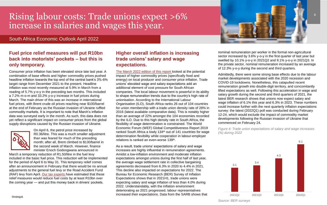## <span id="page-5-0"></span>Rising labour costs: Trade unions expect >6% increase in salaries and wages this year.

## **Fuel price relief measures will put R10bn back into motorists' pockets – but this is only temporary.**

Consumer price inflation has been elevated since late last year. A combination of base effects and higher commodity prices pushed headline inflation towards the top end of the central bank's 3%-6% target range from December 2021 to the present. Headline inflation was most recently measured at 5.9% in March from a reading of 5.7% y-o-y in the preceding two months. This included a 7.2% m-o-m and 33.2% y-o-y increase in fuel prices during March. The main driver of this was an increase in international fuel prices, with Brent crude oil prices reaching near \$100/barrel at the end of February as the Russian invasion of Ukraine ruffled commodity markets. It is important to note that March's inflation data was surveyed early in the month. As such, this data does not yet reflect a significant impact on consumer prices from the global supply disruptions caused by the Russian invasion of Ukraine.



[The March 2022 edition of this report](https://www.pwc.co.za/en/assets/pdf/economic-outlook/economic-outlook-responding-to-higher-inflation-rising-interest-rates.pdf) looked at the potential impact of higher commodity prices (specifically food and energy) on local producer and consumer price inflation. Trade unions' elevated wage and salary expectations add an additional element of cost pressure for South African companies. The local labour movement is powerful in its ability to shape remuneration trends due to the country's high rate of unionisation. According to the International Labour Organisation (ILO), South Africa ranks 26 out of 104 countries for union membership with a trade union density rate of 28% in 2016 (latest available comparative data). This is notably higher than an average of 22% amongst the 104 economies recorded by the ILO. Due to this high density rate in South Africa, the flexibility of wage determination is constrained. The World Economic Forum (WEF) Global Competitiveness Report 2019 ranked South Africa a lowly 134<sup>th</sup> out of 141 countries for wage determination flexibility while cooperation in labour-employer relations is ranked an even-worse 139<sup>th</sup>.

On April 6, the petrol price increased by R0.36/litre. This was a much smaller adjustment than was feared for much of the preceding month; after all, Brent climbed to \$130/barrel in the second week of March. However, finance minister Enoch Godongwana announced in

March a temporary reduction of R1.50/litre in the fuel levy included in the basic fuel price. This reduction will be implemented for the period of April 6 to May 31. This temporary relief comes after an announcement in February that there would be no annual adjustments to the general fuel levy or the Road Accident Fund (RAF) levy from April. [Our tax experts h](https://www.pwc.co.za/en/publications/tax-alert.html)ave estimated that these relief measures would reduce fuel costs by at least R10bn over the coming year — and put this money back in drivers' pockets.

## **Higher overall inflation is increasing trade unions' salary and wage expectations.**

As a result, trade unions' expectations of salary and wage increases are highly influential in remuneration agreements. Amidst a low-inflation environment and moderate inflation expectations amongst unions during the first half of last year, the average wage settlement rate in collective bargaining agreements decreased from 6.3% in 2020 to 4.4% in 2021. This decline also impacted on expectations for 2022. The Bureau for Economic Research (BER) Survey of Inflation Expectations shows that in 2021H1, trade unions were expecting salary and wage inflation of less than 4.0% during 2022. Understandably, with the inflation environment deteriorating as 2021 progressed, labour representatives increased their expectations. Data from the SARB shows that nominal remuneration per worker in the formal non-agricultural sector increased by 3.6% y-o-y in the first quarter of last year but swelled by 10.1% y-o-y in 2021Q2 and 9.1% y-o-y in 2021Q3. In the private sector, nominal remuneration increased by an average of 12.3% y-o-y during the second and third quarters.

Admittedly, there were some strong base effects due to the labour market developments associated with the 2020 recession and COVID-19 lockdowns. Nonetheless, this catapulted recent remuneration growth into double-digit territory, and concomitantly lifted expectations as well. Following this acceleration in wage and salary growth during the second and third quarters of 2021, the latest BER research shows that unions now expect salary and wage inflation of 6.1% this year and 6.3% in 2023. These numbers could increase further with the next quarterly inflation expectations survey: the latest (2022Q1) poll was conducted during February 12-24, which would exclude the impact of commodity market developments following the Russian invasion of Ukraine that commenced on February 24.

*Figure 4: Trade union expectations of salary and wage increases (%) during 2022*

*Source: BER surveys*





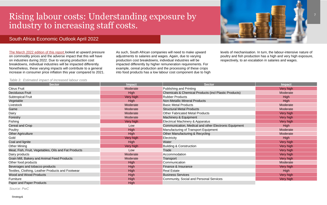

## <span id="page-6-0"></span>Rising labour costs: Understanding exposure by industry to increasing staff costs.



## South Africa Economic Outlook April 2022

[The March 2022 edition of this report l](https://www.pwc.co.za/en/assets/pdf/economic-outlook/economic-outlook-responding-to-higher-inflation-rising-interest-rates.pdf)ooked at upward pressure on commodity prices and the adverse impact that this will have on industries during 2022. Due to varying production cost breakdowns, individual industries will be impacted differently. Nonetheless, these varying impacts will contribute to a general increase in consumer price inflation this year compared to 2021.

As such, South African companies will need to make upward adjustments to salaries and wages. Again, due to varying production cost breakdowns, individual industries will be impacted differently by higher remuneration requirements. For example, cereal production and the processing of these crops into food products has a low labour cost component due to high

levels of mechanisation. In turn, the labour-intensive nature of poultry and fish production has a high and very high exposure, respectively, to an escalation in salaries and wages.

| <b>Sector</b>                                        | <b>Impact</b> | <b>Sector</b>                                                    | <b>Impact</b> |
|------------------------------------------------------|---------------|------------------------------------------------------------------|---------------|
| <b>Citrus Fruit</b>                                  | Moderate      | <b>Publishing and Printing</b>                                   | Very high     |
| <b>Deciduous Fruit</b>                               | High          | <b>Chemicals &amp; Chemical Products (incl Plastic Products)</b> | Moderate      |
| <b>Subtropical Fruit</b>                             | Very high     | <b>Rubber Products</b>                                           | High          |
| Vegetable                                            | <b>High</b>   | <b>Non-Metallic Mineral Products</b>                             | High          |
| Livestock                                            | Moderate      | <b>Basic Metal Products</b>                                      | Moderate      |
| Game                                                 | Moderate      | <b>Structural Metal Products</b>                                 | Moderate      |
| Dairy                                                | Moderate      | <b>Other Fabricated Metal Products</b>                           | Very high     |
| <b>Forestry</b>                                      | Moderate      | Machinery & Equipment                                            | Very high     |
| Fishing                                              | Very high     | <b>Electrical Machinery &amp; Apparatus</b>                      | Very high     |
| Cereal and Crop                                      | Low           | Communication, Medical and other Electronic Equipment            | <b>High</b>   |
| Poultry                                              | High          | Manufacturing of Transport Equipment                             | Moderate      |
| <b>Other Agriculture</b>                             | High          | Other Manufacturing & Recycling                                  | Moderate      |
| Gold                                                 | Very high     | Electricity                                                      | <b>High</b>   |
| Coal and lignite                                     | High          | Water                                                            | Very high     |
| <b>Other Mining</b>                                  | Very high     | <b>Building &amp; Construction</b>                               | Very high     |
| Meat, Fish, Fruit, Vegetables, Oils and Fat Products | Low           | Trade                                                            | Very high     |
| Dairy products                                       | Moderate      | Accommodation                                                    | Very high     |
| Grain Mill, Bakery and Animal Feed Products          | Moderate      | Transport                                                        | Very high     |
| Other food products                                  | High          | Communication                                                    | Moderate      |
| Beverages and tobacco products                       | High          | <b>Finance &amp; Insurance</b>                                   | Very high     |
| Textiles, Clothing, Leather Products and Footwear    | High          | <b>Real Estate</b>                                               | <b>High</b>   |
| Wood and Wood Products                               | <b>High</b>   | <b>Business Services</b>                                         | Very high     |
| Furniture                                            | <b>High</b>   | <b>Community, Social and Personal Services</b>                   | Very high     |
| Paper and Paper Products                             | <b>High</b>   |                                                                  |               |

*Table 3: Estimated impact of increased labour costs*

*Source: PwC*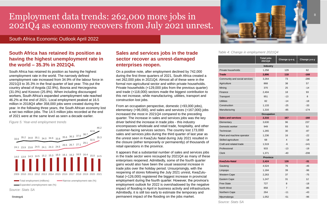Strategy&

## <span id="page-7-0"></span>Employment data trends: 262,000 more jobs in 2021Q4 as economy recovers from July 2021 unrest.

## **South Africa has retained its position as having the highest unemployment rate in the world – 35.3% in 2021Q4.**

South Africa has retained its position as having the highest unemployment rate in the world. The narrowly defined unemployment rate increased from 34.9% of the labour force in 2021Q3 to 35.3% in the final quarter of last year. This put the country ahead of Angola (32.9%), Bosnia and Herzegovina (31.0%) and Kosovo (25.8%). When including discouraged workers, South Africa's expanded unemployment rate reached 46.2% at the end of 2021. Local employment peaked at 16.5 million in 2018Q4 after 358,000 jobs were created during the year. In the following three years, the South African economy lost a net two million jobs. The 14.5 million jobs recorded at the end of 2021 were at the same level as seen a decade earlier.

*Figure 5: Year-end employment trends*

## **Sales and services jobs in the trade sector recover as unrest-damaged enterprises reopen.**

On a positive note, after employment declined by 742,000 during the first three quarters of 2021, South Africa created a net 262,000 jobs in 2021Q4. Almost all of these were in the formal non-agricultural sector and within private households. Private households (+129,000 jobs from the previous quarter) and trade (+118,000) sectors made the biggest contribution to this net increase, while manufacturing, utilities, transport and construction lost jobs.

From an occupation perspective, domestic (+93,000 jobs), elementary (+96,000), and sales and services (+167,000) jobs increased the most in 2021Q4 compared to the preceding quarter. The increase in sales and services jobs was the key driver behind the increase in trade jobs - this industry encompasses wholesale and retail trade, hospitality, and other customer-facing services sectors. The country lost 173,000 sales and services jobs during the third quarter of last year as the unrest seen in KwaZulu Natal during July 2021 resulted in the closure (either temporarily or permanently) of thousands of retail operations in the province.



It appears that a substantial number of sales and services jobs in the trade sector were recouped by 2021Q4 as many of these enterprises reopened. Admittedly, some of the fourth quarter gains would also have been the usual seasonal increase in trade jobs over the holiday period. Unsurprisingly, with the reopening of stores following the July 2021 unrest, KwaZulu-Natal (+126,000) registered the biggest increase in provincial employment during the fourth quarter. However, the province's employment outlook for 2022 is overshadowed by the negative impact of flooding in April in business activity and infrastructure. Admittedly, it is still too early to estimate the temporary and permanent impact of the flooding on the jobs market.

| Private households |
|--------------------|
| <b>Trade</b>       |
| Community and so   |
| Agriculture        |
| Mining             |
| Finance            |
| Transport          |
| Utilities          |
| Construction       |
| Manufacturing      |
|                    |

#### *Table 4: Change in employment 2021Q4*

*Source: Stats SA*



## South Africa Economic Outlook April 2022

#### **Sales and services 2,316 167 -160**

| Elementary            |
|-----------------------|
| Domestic worker       |
| Technician            |
| Plant and machine     |
| Skilled agriculture   |
| Craft and related tra |
| Professional          |
| Cl≙rk                 |

|                               | <b>Total jobs</b><br>2021Q4 | Change q-o-q   | Change y-o-y |  |  |
|-------------------------------|-----------------------------|----------------|--------------|--|--|
|                               | <b>Industry</b>             |                |              |  |  |
| Private households            | 1,258                       | 129            | 62           |  |  |
| <b>Trade</b>                  | 2,896                       | 118            | $-168$       |  |  |
| Community and social services | 3,264                       | 73             | $-286$       |  |  |
| Agriculture                   | 868                         | 38             | 57           |  |  |
| Mining                        | 370                         | 25             | $-14$        |  |  |
| Finance                       | 2,404                       | 18             | 93           |  |  |
| Transport                     | 951                         | $-13$          | 8            |  |  |
| <b>Utilities</b>              | 82                          | $-14$          | $-18$        |  |  |
| Construction                  | 1,133                       | $-25$          | $-33$        |  |  |
| Manufacturing                 | 1,316                       | $-85$          | $-174$       |  |  |
|                               | <b>Occupation</b>           |                |              |  |  |
| <b>Sales and services</b>     | 2,316                       | 167            | $-160$       |  |  |
| Elementary                    | 3,630                       | 96             | 237          |  |  |
| Domestic worker               | 949                         | 93             | 52           |  |  |
| Technician                    | 1,265                       | 30             | $-87$        |  |  |
| Plant and machine operator    | 1,236                       | 16             | $-22$        |  |  |
| Skilled agriculture           | 68                          | $\overline{4}$ | $-18$        |  |  |
| Craft and related trade       | 1,519                       | -6             | $-141$       |  |  |
| Professional                  | 933                         | $-13$          | $-19$        |  |  |
| <b>Clerk</b>                  | 1,371                       | $-40$          | $-208$       |  |  |
| <b>Province</b>               |                             |                |              |  |  |
| <b>KwaZulu-Natal</b>          | 2,424                       | 126            | $-31$        |  |  |
| Gauteng                       | 4,524                       | 76             | $-46$        |  |  |
| Limpopo                       | 1,184                       | 39             | $-96$        |  |  |
| Western Cape                  | 2,263                       | 37             | $-75$        |  |  |
| <b>Eastern Cape</b>           | 1,247                       | 31             | 12           |  |  |
| <b>Free State</b>             | 727                         | 8              | $-18$        |  |  |
| North West                    | 858                         | $\overline{7}$ | $-86$        |  |  |
| Northern Cape                 | 264                         | $-11$          | $-43$        |  |  |
| Mpumalanga                    | 1,052                       | $-51$          | $-96$        |  |  |

#### **KwaZulu-Natal 2,424 126 -31**

| Gauteng       |
|---------------|
| Limpopo       |
| Western Cape  |
| Eastern Cape  |
| Free State    |
| North West    |
| Northern Cape |
| Mpumalanga    |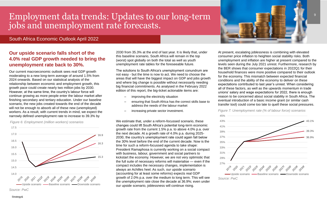Strategy&

## <span id="page-8-0"></span>Employment data trends: Updates to our long-term jobs and unemployment rate forecasts.

## **Our upside scenario falls short of the 4.0% real GDP growth needed to bring the unemployment rate back to 30%.**

Our current macroeconomic outlook sees real GDP growth moderating to a new long-term average of around 1.5% from 2024 onwards. Based on our statistical analysis of the relationship between economic and employment growth, this growth pace could create nearly two million jobs by 2030. However, at the same time, the country's labour force will continue growing as more people enter the labour market after finishing secondary and tertiary education. Under our baseline scenario, the new jobs created towards the end of the decade will not be enough to absorb all of these new (unemployed) workers. As a result, with current trends in mind, we expect the narrowly defined unemployment rate to increase to 39.3% by

- improving the electricity situation
- ensuring that South Africa has the correct skills base to address the needs of the labour market
- increasing private sector investment.

*Figure 6: Employment (million workers) scenarios*

*Source: PwC*

2030 from 35.3% at the end of last year. It is likely that, under this baseline scenario, South Africa will remain in the top (worst) spot globally on both the total as well as youth unemployment rate tables for the foreseeable future.

The solutions to South Africa's unemployment conundrum are not easy - but the time is now to act. We need to choose the areas that will have the biggest impact on GDP and jobs growth and where big change is possible without necessarily needing big financial commitments. As analysed in the February 2022 edition of this report, the big-ticket actionable items are:

17.5 17.0 16.9 16.5 16.3 16.0 15.5 15.3 15.0 14.5 14.0 2022 2023 2024 2025 2026 2021 Upside scenario **-** Baseline scenario **-** Downside scenario

We estimate that, under a reform-focussed scenario, these changes could lift South Africa's potential long-term economic growth rate from the current 1.5% p.a. to above 4.0% p.a. over the next decade. At a growth rate of 4.0% p.a. during 2025- 2030, the country's unemployment rate could again fall below the 30% level before the end of the current decade. Now is the time for such a reform-focussed agenda to take shape: President Ramaphosa is currently working on a social compact with business, labour, government and social partners to kickstart the economy. However, we are not very optimistic that the full suite of necessary reforms will materialise — even if the compact includes the necessary changes, implementation is always an Achilles heel. As such, our upside scenario (accounting for at least some reforms) expects real GDP growth of 2.0% p.a. over the medium to long term. This will see the unemployment rate close the decade at 36.9%; even under our upside scenario, joblessness will continue rising.

At present, escalating joblessness is combining with elevated consumer price inflation to heighten social stability risks. Both unemployment and inflation are higher at present compared to the levels seen during the July 2021 unrest. Furthermore, research by the BER shows that consumer expectations in 2022Q1 for their household finances were more positive compared to their outlook for the economy. This mismatch between expected financial conditions and the ability of the economy to deliver on these expectations contributed to last year's unrest. When considering all of these factors, as well as the upwards momentum in trade unions' salary and wage expectations for 2022, there is enough reason to be concerned about social stability in South Africa. The eventual introduction of a basic income grant (or similar cash transfer tool) could come too late to quell these social pressures.

*Figure 7: Unemployment rate (% of labour force) scenarios*



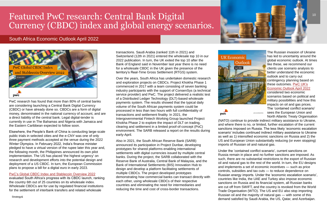<span id="page-9-0"></span>

PwC research has found that more than 80% of central banks are considering launching a Central Bank Digital Currency (CBDC) or have already done so. CBDCs are a form of digital money, denominated in the national currency of account, and are a direct liability of the central bank. Legal digital-tender is currently in use in The Bahamas and Nigeria with Jamaica and the Eastern Caribbean expected to follow soon.

Elsewhere, the People's Bank of China is conducting large-scale public trials in selected cities and the e-CNY was one of only three payment methods accepted at the venue during the 2022 Winter Olympics. In February 2022, India's finance minister pledged to have a virtual version of the rupee later this year and, the following month, the Philippines announced its own pilot implementation. The US has placed 'the highest urgency' on research and development efforts into the potential design and deployment of a US CBDC. In turn, the European Commission plans to propose a bill for a digital euro in early 2023.

#### [PwC's Global CBDC Index and Stablecoin Overview 2022](https://www.pwc.co.uk/industries/financial-services/insights/global-cbdc-index-and-stablecoin-overview-2022.html)

evaluated South Africa's progress with its CBDC launch, ranking the country 6th out of 25 countries on its wholesale index. Wholesale CBDCs are for use by regulated financial institutions for the settlement of interbank transfers and related wholesale

transactions. Saudi Arabia (ranked 11th in 2021) and Switzerland (12th in 2021) entered the wholesale top 10 in our 2022 publication. In turn, the UK exited the top 10 after the Bank of England said in November last year there is no need for a wholesale CBDC in the UK given the presence of the territory's Real-Time Gross Settlement (RTGS) system.

Over the years, South Africa has undertaken domestic research and exploration projects on CBDCs. Project Khokha Phase 1 commenced in 2017 with a team consisting of seven banking industry participants with the support of ConsenSys (a technical service provider) and PwC. The project delivered a realistic test of a Distributed Ledger Technology (DLT)-based wholesale payments system. The results showed that the typical daily volume of the South African payments system could be processed in less than two hours with full confidentiality of transactions and settlement finality. In 2021, the Intergovernmental Fintech Working Group launched Project Khokha Phase 2 to explore the impact of DLT on trading, clearing and settlement in a limited proof-of-concept (PoC) environment. The SARB released a report on the results during early-April.

Also in 2021, the South African Reserve Bank (SARB) announced its participation in Project Dunbar, developing prototypes for shared platforms enabling international settlements with digital currencies issued by multiple central banks. During the project, the SARB collaborated with the Reserve Bank of Australia, Central Bank of Malaysia, and the Bank of International Settlements (BIS) Innovation Hub to design and develop a platform facilitating settlements of multiple CBDCs. The project developed prototypes demonstrating how commercial banks can transact directly with each other, using wholesale CBDCs of their respective countries and eliminating the need for intermediaries and reducing the time and cost of cross-border transactions.





The Russian invasion of Ukraine has led to uncertainty around the global economic outlook. At times like these, we recommend our clients use scenario analysis to better understand the economic outlook and to carry out contingency planning based on these outcomes. [PwC UK's](https://www.pwc.co.uk/services/economics/insights/uk-economic-outlook.html) [Economic Outlook April 2022](https://www.pwc.co.uk/services/economics/insights/uk-economic-outlook.html) considered two economic scenarios based on political and military possibilities and how this impacts on oil and gas prices. The 'contained conflict scenario' sees the European Union and North Atlantic Treaty Organisation

(NATO) continue to provide indirect military assistance to Ukraine, and where there is no, or limited, further escalation of the current sanctions imposed on Russia. The less likely 'economic escalation scenario' includes continued indirect military assistance to Ukraine as well as 1) intensified economic sanctions on Russia and 2) the US and European Union substantially reducing (or even stopping) imports of Russian oil and natural gas.

Under the 'contained conflict scenario', current sanctions on Russia remain in place and no further sanctions are imposed. As such, there are no substantial restrictions to the export of Russian oil and natural gas to the rest of the world. In turn, the EU designs and implements a set of economic incentives — such as price controls, subsidies and tax cuts — to reduce dependence on Russian energy imports. Under the 'economic escalation scenario', countries like India, the UAE and Turkey also impose economic sanctions on Russia and its financial system, all Russian banks are cut off from SWIFT, and the country is revoked from the World Trade Organisation (WTO). The US and EU also stop importing Russian oil and the majority of natural gas — with some of this demand satisfied by Saudi Arabia, the US, Qatar, and Azerbaijan.